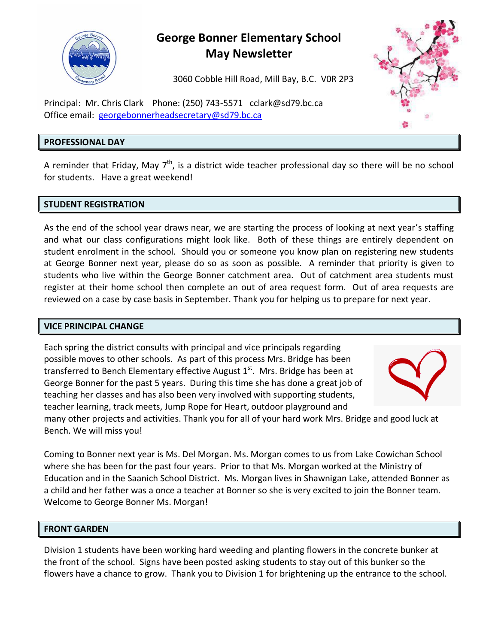

# **George Bonner Elementary School May Newsletter**

3060 Cobble Hill Road, Mill Bay, B.C. V0R 2P3

Principal: Mr. Chris Clark Phone: (250) 743-5571 [cclark@sd79.bc.ca](mailto:cclark@sd79.bc.ca) Office email: [georgebonnerheadsecretary@sd79.bc.ca](mailto:georgebonnerheadsecretary@sd79.bc.ca)

# **PROFESSIONAL DAY**

A reminder that Friday, May  $7^{\text{th}}$ , is a district wide teacher professional day so there will be no school for students. Have a great weekend!

# **STUDENT REGISTRATION**

As the end of the school year draws near, we are starting the process of looking at next year's staffing and what our class configurations might look like. Both of these things are entirely dependent on student enrolment in the school. Should you or someone you know plan on registering new students at George Bonner next year, please do so as soon as possible. A reminder that priority is given to students who live within the George Bonner catchment area. Out of catchment area students must register at their home school then complete an out of area request form. Out of area requests are reviewed on a case by case basis in September. Thank you for helping us to prepare for next year.

# **VICE PRINCIPAL CHANGE**

Each spring the district consults with principal and vice principals regarding possible moves to other schools. As part of this process Mrs. Bridge has been transferred to Bench Elementary effective August  $1<sup>st</sup>$ . Mrs. Bridge has been at George Bonner for the past 5 years. During this time she has done a great job of teaching her classes and has also been very involved with supporting students, teacher learning, track meets, Jump Rope for Heart, outdoor playground and



many other projects and activities. Thank you for all of your hard work Mrs. Bridge and good luck at Bench. We will miss you!

Coming to Bonner next year is Ms. Del Morgan. Ms. Morgan comes to us from Lake Cowichan School where she has been for the past four years. Prior to that Ms. Morgan worked at the Ministry of Education and in the Saanich School District. Ms. Morgan lives in Shawnigan Lake, attended Bonner as a child and her father was a once a teacher at Bonner so she is very excited to join the Bonner team. Welcome to George Bonner Ms. Morgan!

# **FRONT GARDEN**

Division 1 students have been working hard weeding and planting flowers in the concrete bunker at the front of the school. Signs have been posted asking students to stay out of this bunker so the flowers have a chance to grow. Thank you to Division 1 for brightening up the entrance to the school.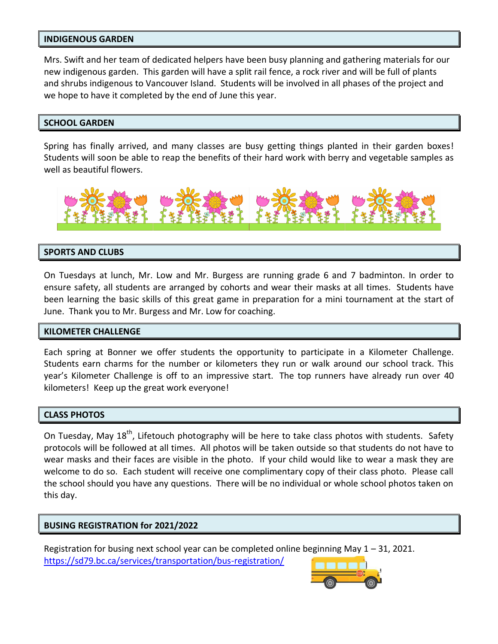### **INDIGENOUS GARDEN**

Mrs. Swift and her team of dedicated helpers have been busy planning and gathering materials for our new indigenous garden. This garden will have a split rail fence, a rock river and will be full of plants and shrubs indigenous to Vancouver Island. Students will be involved in all phases of the project and we hope to have it completed by the end of June this year.

### **SCHOOL GARDEN**

Spring has finally arrived, and many classes are busy getting things planted in their garden boxes! Students will soon be able to reap the benefits of their hard work with berry and vegetable samples as well as beautiful flowers.



# **SPORTS AND CLUBS**

On Tuesdays at lunch, Mr. Low and Mr. Burgess are running grade 6 and 7 badminton. In order to ensure safety, all students are arranged by cohorts and wear their masks at all times. Students have been learning the basic skills of this great game in preparation for a mini tournament at the start of June. Thank you to Mr. Burgess and Mr. Low for coaching.

# **KILOMETER CHALLENGE**

Each spring at Bonner we offer students the opportunity to participate in a Kilometer Challenge. Students earn charms for the number or kilometers they run or walk around our school track. This year's Kilometer Challenge is off to an impressive start. The top runners have already run over 40 kilometers! Keep up the great work everyone!

#### **CLASS PHOTOS**

On Tuesday, May 18<sup>th</sup>, Lifetouch photography will be here to take class photos with students. Safety protocols will be followed at all times. All photos will be taken outside so that students do not have to wear masks and their faces are visible in the photo. If your child would like to wear a mask they are welcome to do so. Each student will receive one complimentary copy of their class photo. Please call the school should you have any questions. There will be no individual or whole school photos taken on this day.

#### **BUSING REGISTRATION for 2021/2022**

Registration for busing next school year can be completed online beginning May 1 – 31, 2021. <https://sd79.bc.ca/services/transportation/bus-registration/>

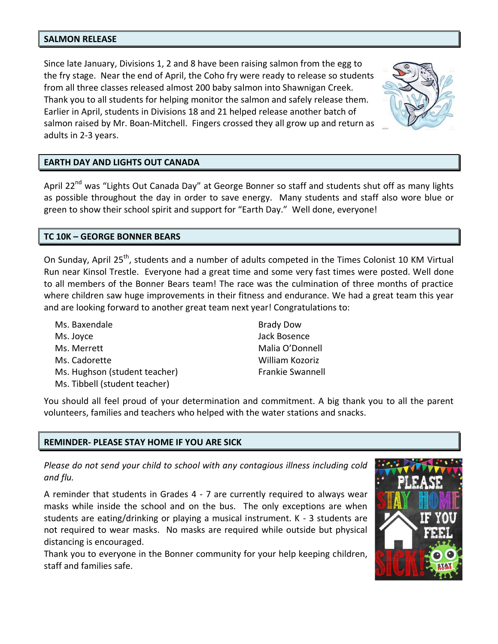#### **SALMON RELEASE**

Since late January, Divisions 1, 2 and 8 have been raising salmon from the egg to the fry stage. Near the end of April, the Coho fry were ready to release so students from all three classes released almost 200 baby salmon into Shawnigan Creek. Thank you to all students for helping monitor the salmon and safely release them. Earlier in April, students in Divisions 18 and 21 helped release another batch of salmon raised by Mr. Boan-Mitchell. Fingers crossed they all grow up and return as adults in 2-3 years.



# **EARTH DAY AND LIGHTS OUT CANADA**

April 22<sup>nd</sup> was "Lights Out Canada Day" at George Bonner so staff and students shut off as many lights as possible throughout the day in order to save energy. Many students and staff also wore blue or green to show their school spirit and support for "Earth Day." Well done, everyone!

# **TC 10K – GEORGE BONNER BEARS**

On Sunday, April 25<sup>th</sup>, students and a number of adults competed in the Times Colonist 10 KM Virtual Run near Kinsol Trestle. Everyone had a great time and some very fast times were posted. Well done to all members of the Bonner Bears team! The race was the culmination of three months of practice where children saw huge improvements in their fitness and endurance. We had a great team this year and are looking forward to another great team next year! Congratulations to:

Ms. Baxendale Ms. Joyce Ms. Merrett Ms. Cadorette Ms. Hughson (student teacher) Ms. Tibbell (student teacher)

Brady Dow Jack Bosence Malia O'Donnell William Kozoriz Frankie Swannell

You should all feel proud of your determination and commitment. A big thank you to all the parent volunteers, families and teachers who helped with the water stations and snacks.

# **REMINDER- PLEASE STAY HOME IF YOU ARE SICK**

*Please do not send your child to school with any contagious illness including cold and flu.*

A reminder that students in Grades 4 - 7 are currently required to always wear masks while inside the school and on the bus. The only exceptions are when students are eating/drinking or playing a musical instrument. K - 3 students are not required to wear masks. No masks are required while outside but physical distancing is encouraged.

Thank you to everyone in the Bonner community for your help keeping children, staff and families safe.

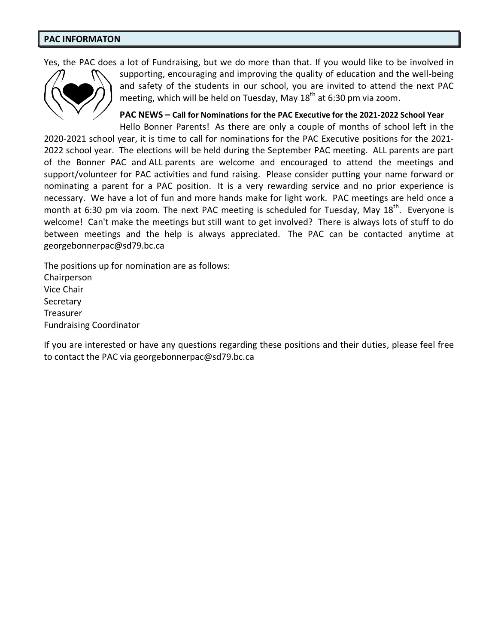#### **PAC INFORMATON**

Yes, the PAC does a lot of Fundraising, but we do more than that. If you would like to be involved in



supporting, encouraging and improving the quality of education and the well-being and safety of the students in our school, you are invited to attend the next PAC meeting, which will be held on Tuesday, May 18<sup>th</sup> at 6:30 pm via zoom.

**PAC NEWS – Call for Nominations for the PAC Executive for the 2021-2022 School Year** Hello Bonner Parents! As there are only a couple of months of school left in the

2020-2021 school year, it is time to call for nominations for the PAC Executive positions for the 2021- 2022 school year. The elections will be held during the September PAC meeting. ALL parents are part of the Bonner PAC and ALL parents are welcome and encouraged to attend the meetings and support/volunteer for PAC activities and fund raising. Please consider putting your name forward or nominating a parent for a PAC position. It is a very rewarding service and no prior experience is necessary. We have a lot of fun and more hands make for light work. PAC meetings are held once a month at 6:30 pm via zoom. The next PAC meeting is scheduled for Tuesday, May 18<sup>th</sup>. Everyone is welcome! Can't make the meetings but still want to get involved? There is always lots of stuff to do between meetings and the help is always appreciated. The PAC can be contacted anytime at georgebonnerpac@sd79.bc.ca

The positions up for nomination are as follows: Chairperson Vice Chair **Secretary** Treasurer Fundraising Coordinator

If you are interested or have any questions regarding these positions and their duties, please feel free to contact the PAC via georgebonnerpac@sd79.bc.ca